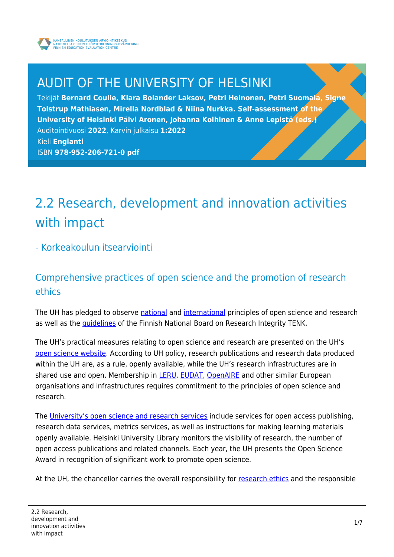

# AUDIT OF THE UNIVERSITY OF HELSINKI

Tekijät **Bernard Coulie, Klara Bolander Laksov, Petri Heinonen, Petri Suomala, Signe Tolstrup Mathiasen, Mirella Nordblad & Niina Nurkka. Self-assessment of the University of Helsinki Päivi Aronen, Johanna Kolhinen & Anne Lepistö (eds.)** Auditointivuosi **2022**, Karvin julkaisu **1:2022** Kieli **Englanti** ISBN **978-952-206-721-0 pdf**

# 2.2 Research, development and innovation activities with impact

### - Korkeakoulun itsearviointi

# Comprehensive practices of open science and the promotion of research ethics

The UH has pledged to observe [national](https://avointiede.fi/en/policies/declaration-open-science-and-research-2020-2025) and [international](https://sfdora.org/read/) principles of open science and research as well as the [guidelines](https://tenk.fi/en) of the Finnish National Board on Research Integrity TENK.

The UH's practical measures relating to open science and research are presented on the UH's [open science website](https://www.helsinki.fi/en/research/open-science). According to UH policy, research publications and research data produced within the UH are, as a rule, openly available, while the UH's research infrastructures are in shared use and open. Membership in **LERU, [EUDAT,](https://eudat.eu/) [OpenAIRE](https://www.openaire.eu/)** and other similar European organisations and infrastructures requires commitment to the principles of open science and research.

The [University's open science and research services](https://www2.helsinki.fi/en/helsinki-university-library/library-for-researchers/open-science-and-research) include services for open access publishing, research data services, metrics services, as well as instructions for making learning materials openly available. Helsinki University Library monitors the visibility of research, the number of open access publications and related channels. Each year, the UH presents the Open Science Award in recognition of significant work to promote open science.

At the UH, the chancellor carries the overall responsibility for [research ethics](https://www.helsinki.fi/en/research/research-integrity/research-ethics) and the responsible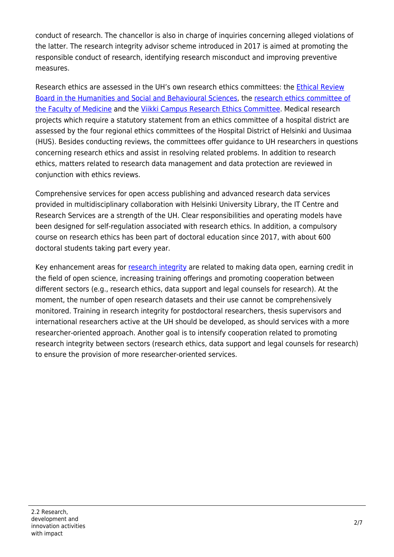conduct of research. The chancellor is also in charge of inquiries concerning alleged violations of the latter. The research integrity advisor scheme introduced in 2017 is aimed at promoting the responsible conduct of research, identifying research misconduct and improving preventive measures.

Research ethics are assessed in the UH's own research ethics committees: the [Ethical Review](https://www.helsinki.fi/en/research/services-researchers/ethical-review-research/humanities-social-sciences-and-behavioural-sciences) [Board in the Humanities and Social and Behavioural Sciences,](https://www.helsinki.fi/en/research/services-researchers/ethical-review-research/humanities-social-sciences-and-behavioural-sciences) the [research ethics committee of](https://www.helsinki.fi/en/research/services-researchers/ethical-review-research/medical-research) [the Faculty of Medicine](https://www.helsinki.fi/en/research/services-researchers/ethical-review-research/medical-research) and the [Viikki Campus Research Ethics Committee](https://www.helsinki.fi/en/research/services-researchers/ethical-review-research/research-animals). Medical research projects which require a statutory statement from an ethics committee of a hospital district are assessed by the four regional ethics committees of the Hospital District of Helsinki and Uusimaa (HUS). Besides conducting reviews, the committees offer guidance to UH researchers in questions concerning research ethics and assist in resolving related problems. In addition to research ethics, matters related to research data management and data protection are reviewed in conjunction with ethics reviews.

Comprehensive services for open access publishing and advanced research data services provided in multidisciplinary collaboration with Helsinki University Library, the IT Centre and Research Services are a strength of the UH. Clear responsibilities and operating models have been designed for self-regulation associated with research ethics. In addition, a compulsory course on research ethics has been part of doctoral education since 2017, with about 600 doctoral students taking part every year.

Key enhancement areas for [research integrity](https://www.helsinki.fi/en/research/research-integrity) are related to making data open, earning credit in the field of open science, increasing training offerings and promoting cooperation between different sectors (e.g., research ethics, data support and legal counsels for research). At the moment, the number of open research datasets and their use cannot be comprehensively monitored. Training in research integrity for postdoctoral researchers, thesis supervisors and international researchers active at the UH should be developed, as should services with a more researcher-oriented approach. Another goal is to intensify cooperation related to promoting research integrity between sectors (research ethics, data support and legal counsels for research) to ensure the provision of more researcher-oriented services.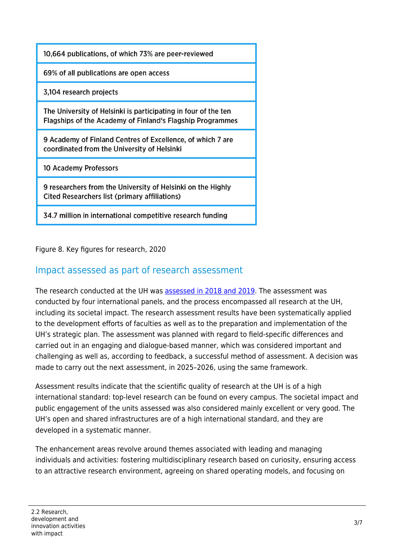| 10,664 publications, of which 73% are peer-reviewed                                                                         |
|-----------------------------------------------------------------------------------------------------------------------------|
| 69% of all publications are open access                                                                                     |
| 3,104 research projects                                                                                                     |
| The University of Helsinki is participating in four of the ten<br>Flagships of the Academy of Finland's Flagship Programmes |
| 9 Academy of Finland Centres of Excellence, of which 7 are<br>coordinated from the University of Helsinki                   |
| 10 Academy Professors                                                                                                       |
| 9 researchers from the University of Helsinki on the Highly<br>Cited Researchers list (primary affiliations)                |
| 34.7 million in international competitive research funding                                                                  |

Figure 8. Key figures for research, 2020

# Impact assessed as part of research assessment

The research conducted at the UH was [assessed in 2018 and 2019](https://www.helsinki.fi/assets/drupal/2021-06/rauh_final_report_060919_full.pdf). The assessment was conducted by four international panels, and the process encompassed all research at the UH, including its societal impact. The research assessment results have been systematically applied to the development efforts of faculties as well as to the preparation and implementation of the UH's strategic plan. The assessment was planned with regard to field-specific differences and carried out in an engaging and dialogue-based manner, which was considered important and challenging as well as, according to feedback, a successful method of assessment. A decision was made to carry out the next assessment, in 2025–2026, using the same framework.

Assessment results indicate that the scientific quality of research at the UH is of a high international standard: top-level research can be found on every campus. The societal impact and public engagement of the units assessed was also considered mainly excellent or very good. The UH's open and shared infrastructures are of a high international standard, and they are developed in a systematic manner.

The enhancement areas revolve around themes associated with leading and managing individuals and activities: fostering multidisciplinary research based on curiosity, ensuring access to an attractive research environment, agreeing on shared operating models, and focusing on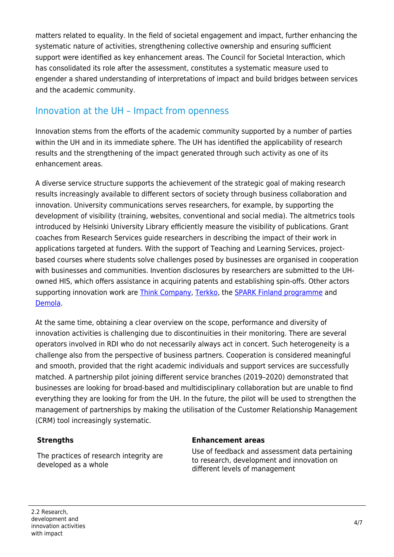matters related to equality. In the field of societal engagement and impact, further enhancing the systematic nature of activities, strengthening collective ownership and ensuring sufficient support were identified as key enhancement areas. The Council for Societal Interaction, which has consolidated its role after the assessment, constitutes a systematic measure used to engender a shared understanding of interpretations of impact and build bridges between services and the academic community.

## Innovation at the UH – Impact from openness

Innovation stems from the efforts of the academic community supported by a number of parties within the UH and in its immediate sphere. The UH has identified the applicability of research results and the strengthening of the impact generated through such activity as one of its enhancement areas.

A diverse service structure supports the achievement of the strategic goal of making research results increasingly available to different sectors of society through business collaboration and innovation. University communications serves researchers, for example, by supporting the development of visibility (training, websites, conventional and social media). The altmetrics tools introduced by Helsinki University Library efficiently measure the visibility of publications. Grant coaches from Research Services guide researchers in describing the impact of their work in applications targeted at funders. With the support of Teaching and Learning Services, projectbased courses where students solve challenges posed by businesses are organised in cooperation with businesses and communities. Invention disclosures by researchers are submitted to the UHowned HIS, which offers assistance in acquiring patents and establishing spin-offs. Other actors supporting innovation work are [Think Company](https://thinkcompany.fi/), [Terkko](https://www.terkko.helsinki.fi/), the [SPARK Finland programme](https://sparkfinland.fi/about-us/) and [Demola.](https://www.demola.net/)

At the same time, obtaining a clear overview on the scope, performance and diversity of innovation activities is challenging due to discontinuities in their monitoring. There are several operators involved in RDI who do not necessarily always act in concert. Such heterogeneity is a challenge also from the perspective of business partners. Cooperation is considered meaningful and smooth, provided that the right academic individuals and support services are successfully matched. A partnership pilot joining different service branches (2019–2020) demonstrated that businesses are looking for broad-based and multidisciplinary collaboration but are unable to find everything they are looking for from the UH. In the future, the pilot will be used to strengthen the management of partnerships by making the utilisation of the Customer Relationship Management (CRM) tool increasingly systematic.

The practices of research integrity are developed as a whole

#### **Strengths Enhancement areas**

Use of feedback and assessment data pertaining to research, development and innovation on different levels of management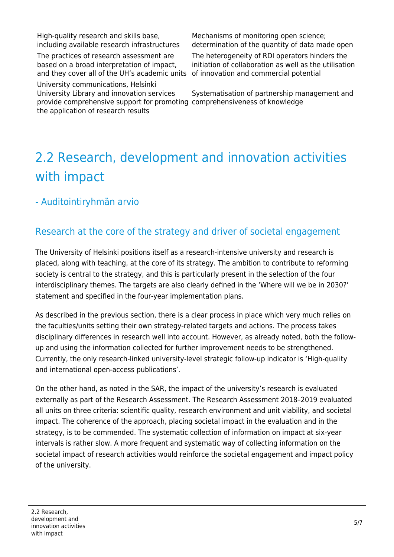High-quality research and skills base, including available research infrastructures

The practices of research assessment are based on a broad interpretation of impact, and they cover all of the UH's academic units of innovation and commercial potential

University communications, Helsinki University Library and innovation services provide comprehensive support for promoting comprehensiveness of knowledge the application of research results

Mechanisms of monitoring open science; determination of the quantity of data made open

The heterogeneity of RDI operators hinders the initiation of collaboration as well as the utilisation

Systematisation of partnership management and

# 2.2 Research, development and innovation activities with impact

# - Auditointiryhmän arvio

# Research at the core of the strategy and driver of societal engagement

The University of Helsinki positions itself as a research-intensive university and research is placed, along with teaching, at the core of its strategy. The ambition to contribute to reforming society is central to the strategy, and this is particularly present in the selection of the four interdisciplinary themes. The targets are also clearly defined in the 'Where will we be in 2030?' statement and specified in the four-year implementation plans.

As described in the previous section, there is a clear process in place which very much relies on the faculties/units setting their own strategy-related targets and actions. The process takes disciplinary differences in research well into account. However, as already noted, both the followup and using the information collected for further improvement needs to be strengthened. Currently, the only research-linked university-level strategic follow-up indicator is 'High-quality and international open-access publications'.

On the other hand, as noted in the SAR, the impact of the university's research is evaluated externally as part of the Research Assessment. The Research Assessment 2018–2019 evaluated all units on three criteria: scientific quality, research environment and unit viability, and societal impact. The coherence of the approach, placing societal impact in the evaluation and in the strategy, is to be commended. The systematic collection of information on impact at six-year intervals is rather slow. A more frequent and systematic way of collecting information on the societal impact of research activities would reinforce the societal engagement and impact policy of the university.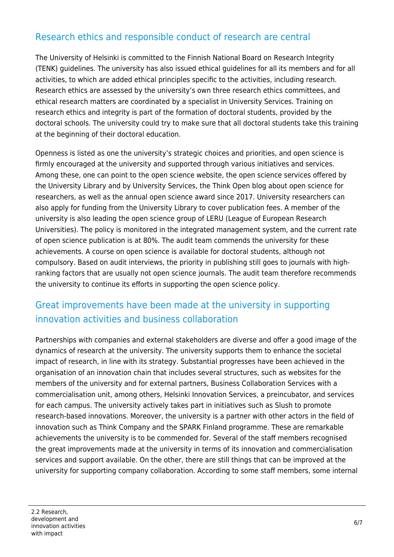# Research ethics and responsible conduct of research are central

The University of Helsinki is committed to the Finnish National Board on Research Integrity (TENK) guidelines. The university has also issued ethical guidelines for all its members and for all activities, to which are added ethical principles specific to the activities, including research. Research ethics are assessed by the university's own three research ethics committees, and ethical research matters are coordinated by a specialist in University Services. Training on research ethics and integrity is part of the formation of doctoral students, provided by the doctoral schools. The university could try to make sure that all doctoral students take this training at the beginning of their doctoral education.

Openness is listed as one the university's strategic choices and priorities, and open science is firmly encouraged at the university and supported through various initiatives and services. Among these, one can point to the open science website, the open science services offered by the University Library and by University Services, the Think Open blog about open science for researchers, as well as the annual open science award since 2017. University researchers can also apply for funding from the University Library to cover publication fees. A member of the university is also leading the open science group of LERU (League of European Research Universities). The policy is monitored in the integrated management system, and the current rate of open science publication is at 80%. The audit team commends the university for these achievements. A course on open science is available for doctoral students, although not compulsory. Based on audit interviews, the priority in publishing still goes to journals with highranking factors that are usually not open science journals. The audit team therefore recommends the university to continue its efforts in supporting the open science policy.

# Great improvements have been made at the university in supporting innovation activities and business collaboration

Partnerships with companies and external stakeholders are diverse and offer a good image of the dynamics of research at the university. The university supports them to enhance the societal impact of research, in line with its strategy. Substantial progresses have been achieved in the organisation of an innovation chain that includes several structures, such as websites for the members of the university and for external partners, Business Collaboration Services with a commercialisation unit, among others, Helsinki Innovation Services, a preincubator, and services for each campus. The university actively takes part in initiatives such as Slush to promote research-based innovations. Moreover, the university is a partner with other actors in the field of innovation such as Think Company and the SPARK Finland programme. These are remarkable achievements the university is to be commended for. Several of the staff members recognised the great improvements made at the university in terms of its innovation and commercialisation services and support available. On the other, there are still things that can be improved at the university for supporting company collaboration. According to some staff members, some internal